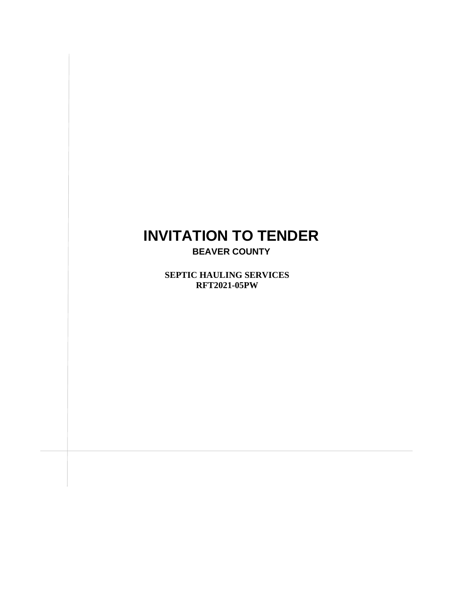# **INVITATION TO TENDER**

**BEAVER COUNTY**

**SEPTIC HAULING SERVICES S RFT2021-05PW**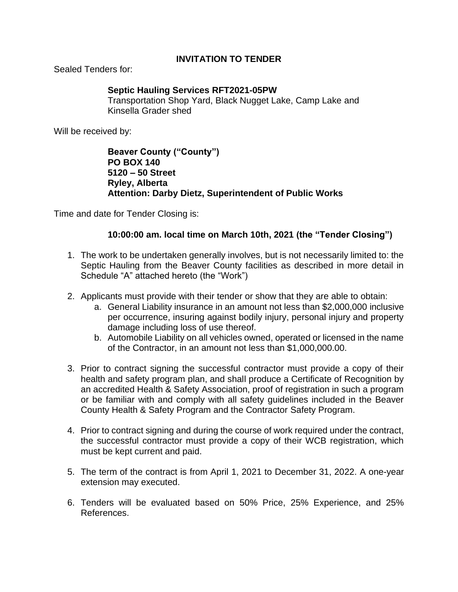#### **INVITATION TO TENDER**

Sealed Tenders for:

#### **Septic Hauling Services RFT2021-05PW**

Transportation Shop Yard, Black Nugget Lake, Camp Lake and Kinsella Grader shed

Will be received by:

**Beaver County ("County") PO BOX 140 5120 – 50 Street Ryley, Alberta Attention: Darby Dietz, Superintendent of Public Works**

Time and date for Tender Closing is:

#### **10:00:00 am. local time on March 10th, 2021 (the "Tender Closing")**

- 1. The work to be undertaken generally involves, but is not necessarily limited to: the Septic Hauling from the Beaver County facilities as described in more detail in Schedule "A" attached hereto (the "Work")
- 2. Applicants must provide with their tender or show that they are able to obtain:
	- a. General Liability insurance in an amount not less than \$2,000,000 inclusive per occurrence, insuring against bodily injury, personal injury and property damage including loss of use thereof.
	- b. Automobile Liability on all vehicles owned, operated or licensed in the name of the Contractor, in an amount not less than \$1,000,000.00.
- 3. Prior to contract signing the successful contractor must provide a copy of their health and safety program plan, and shall produce a Certificate of Recognition by an accredited Health & Safety Association, proof of registration in such a program or be familiar with and comply with all safety guidelines included in the Beaver County Health & Safety Program and the Contractor Safety Program.
- 4. Prior to contract signing and during the course of work required under the contract, the successful contractor must provide a copy of their WCB registration, which must be kept current and paid.
- 5. The term of the contract is from April 1, 2021 to December 31, 2022. A one-year extension may executed.
- 6. Tenders will be evaluated based on 50% Price, 25% Experience, and 25% References.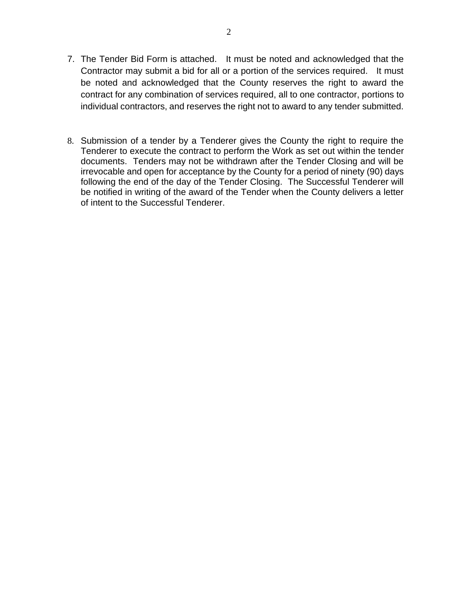- 7. The Tender Bid Form is attached. It must be noted and acknowledged that the Contractor may submit a bid for all or a portion of the services required. It must be noted and acknowledged that the County reserves the right to award the contract for any combination of services required, all to one contractor, portions to individual contractors, and reserves the right not to award to any tender submitted.
- 8. Submission of a tender by a Tenderer gives the County the right to require the Tenderer to execute the contract to perform the Work as set out within the tender documents. Tenders may not be withdrawn after the Tender Closing and will be irrevocable and open for acceptance by the County for a period of ninety (90) days following the end of the day of the Tender Closing. The Successful Tenderer will be notified in writing of the award of the Tender when the County delivers a letter of intent to the Successful Tenderer.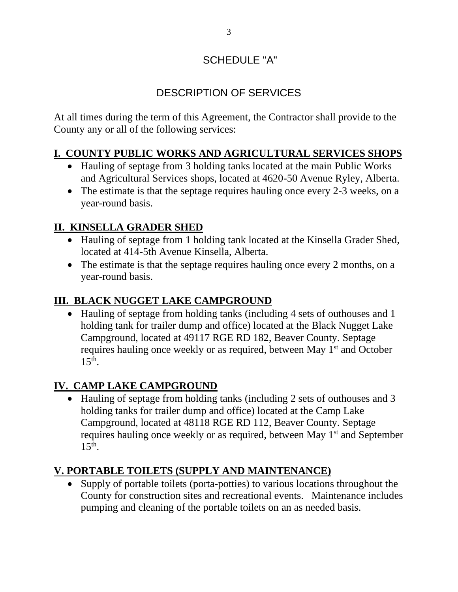# SCHEDULE "A"

# DESCRIPTION OF SERVICES

At all times during the term of this Agreement, the Contractor shall provide to the County any or all of the following services:

## **I. COUNTY PUBLIC WORKS AND AGRICULTURAL SERVICES SHOPS**

- Hauling of septage from 3 holding tanks located at the main Public Works and Agricultural Services shops, located at 4620-50 Avenue Ryley, Alberta.
- The estimate is that the septage requires hauling once every 2-3 weeks, on a year-round basis.

## **II. KINSELLA GRADER SHED**

- Hauling of septage from 1 holding tank located at the Kinsella Grader Shed, located at 414-5th Avenue Kinsella, Alberta.
- The estimate is that the septage requires hauling once every 2 months, on a year-round basis.

## **III. BLACK NUGGET LAKE CAMPGROUND**

• Hauling of septage from holding tanks (including 4 sets of outhouses and 1 holding tank for trailer dump and office) located at the Black Nugget Lake Campground, located at 49117 RGE RD 182, Beaver County. Septage requires hauling once weekly or as required, between May 1<sup>st</sup> and October  $15^{th}$ .

## **IV. CAMP LAKE CAMPGROUND**

• Hauling of septage from holding tanks (including 2 sets of outhouses and 3 holding tanks for trailer dump and office) located at the Camp Lake Campground, located at 48118 RGE RD 112, Beaver County. Septage requires hauling once weekly or as required, between May 1<sup>st</sup> and September  $15<sup>th</sup>$ .

## **V. PORTABLE TOILETS (SUPPLY AND MAINTENANCE)**

• Supply of portable toilets (porta-potties) to various locations throughout the County for construction sites and recreational events. Maintenance includes pumping and cleaning of the portable toilets on an as needed basis.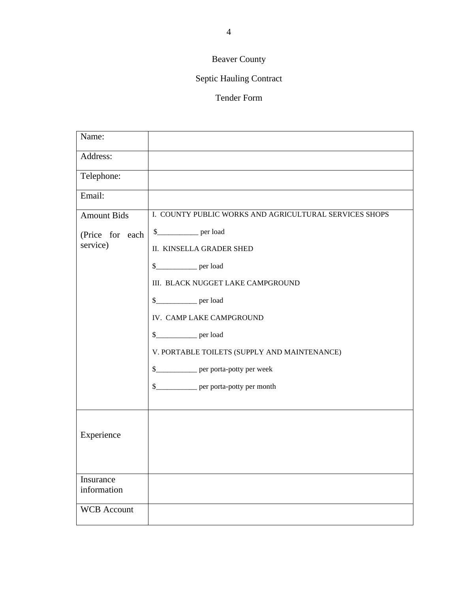# Beaver County

# Septic Hauling Contract

#### Tender Form

| Name:                       |                                                        |
|-----------------------------|--------------------------------------------------------|
| Address:                    |                                                        |
| Telephone:                  |                                                        |
| Email:                      |                                                        |
| <b>Amount Bids</b>          | I. COUNTY PUBLIC WORKS AND AGRICULTURAL SERVICES SHOPS |
| (Price for each<br>service) |                                                        |
|                             | <b>II. KINSELLA GRADER SHED</b>                        |
|                             |                                                        |
|                             | III. BLACK NUGGET LAKE CAMPGROUND                      |
|                             |                                                        |
|                             | IV. CAMP LAKE CAMPGROUND                               |
|                             | \$_______________ per load                             |
|                             | V. PORTABLE TOILETS (SUPPLY AND MAINTENANCE)           |
|                             | \$______________ per porta-potty per week              |
|                             | \$______________ per porta-potty per month             |
|                             |                                                        |
|                             |                                                        |
| Experience                  |                                                        |
|                             |                                                        |
| Insurance                   |                                                        |
| information                 |                                                        |
| <b>WCB</b> Account          |                                                        |